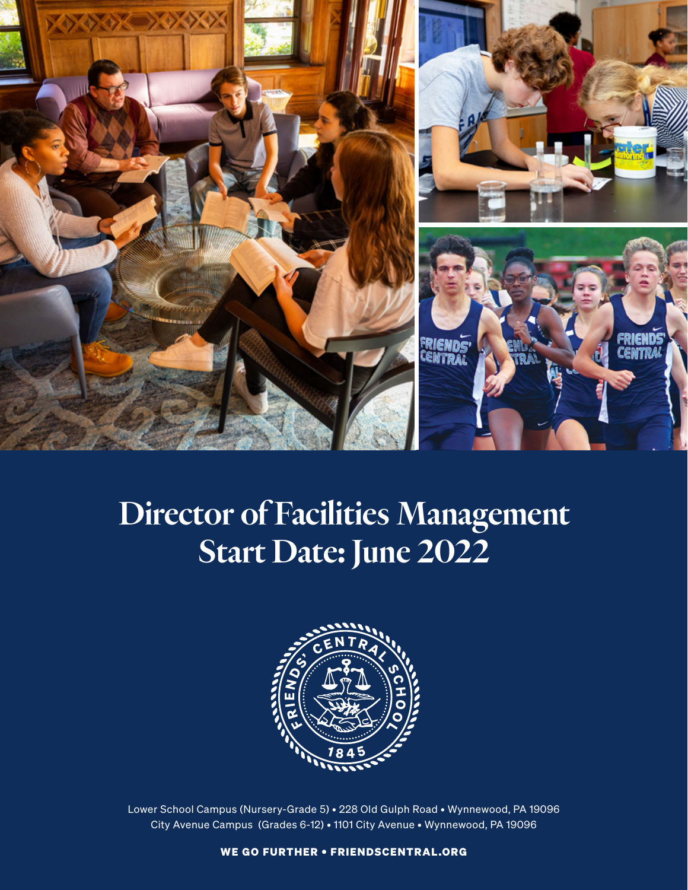

# Director of Facilities Management Start Date: June 2022



Lower School Campus (Nursery-Grade 5) • 228 Old Gulph Road • Wynnewood, PA 19096 City Avenue Campus (Grades 6-12) • 1101 City Avenue • Wynnewood, PA 19096

WE GO FURTHER • FRIENDSCENTRAL.ORG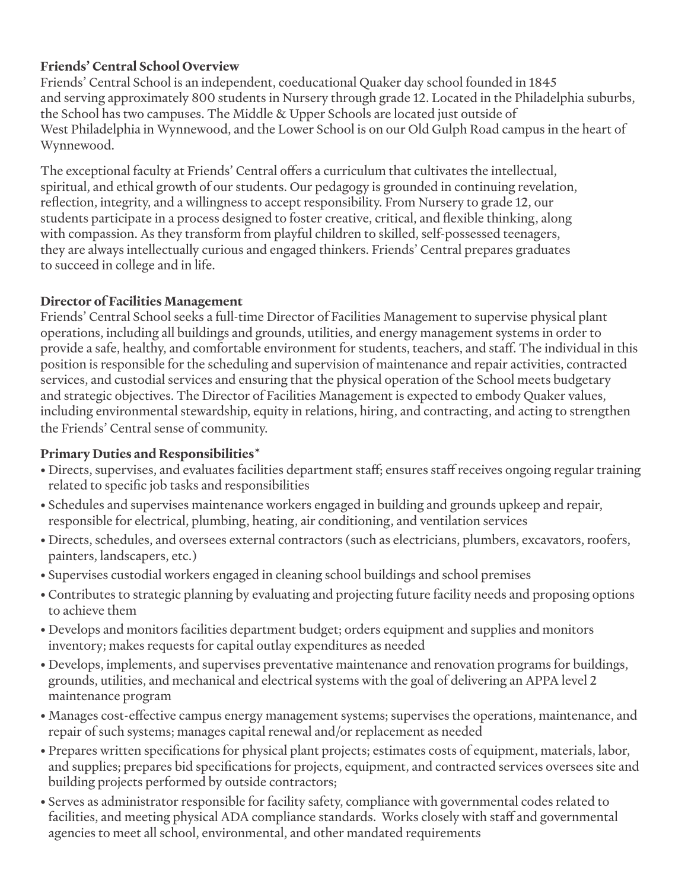#### **Friends' Central School Overview**

Friends' Central School is an independent, coeducational Quaker day school founded in 1845 and serving approximately 800 students in Nursery through grade 12. Located in the Philadelphia suburbs, the School has two campuses. The Middle & Upper Schools are located just outside of West Philadelphia in Wynnewood, and the Lower School is on our Old Gulph Road campus in the heart of Wynnewood.

The exceptional faculty at Friends' Central offers a curriculum that cultivates the intellectual, spiritual, and ethical growth of our students. Our pedagogy is grounded in continuing revelation, reflection, integrity, and a willingness to accept responsibility. From Nursery to grade 12, our students participate in a process designed to foster creative, critical, and flexible thinking, along with compassion. As they transform from playful children to skilled, self-possessed teenagers, they are always intellectually curious and engaged thinkers. Friends' Central prepares graduates to succeed in college and in life.

#### **Director of Facilities Management**

Friends' Central School seeks a full-time Director of Facilities Management to supervise physical plant operations, including all buildings and grounds, utilities, and energy management systems in order to provide a safe, healthy, and comfortable environment for students, teachers, and staff. The individual in this position is responsible for the scheduling and supervision of maintenance and repair activities, contracted services, and custodial services and ensuring that the physical operation of the School meets budgetary and strategic objectives. The Director of Facilities Management is expected to embody Quaker values, including environmental stewardship, equity in relations, hiring, and contracting, and acting to strengthen the Friends' Central sense of community.

#### **Primary Duties and Responsibilities\***

- Directs, supervises, and evaluates facilities department staff; ensures staff receives ongoing regular training related to specific job tasks and responsibilities
- Schedules and supervises maintenance workers engaged in building and grounds upkeep and repair, responsible for electrical, plumbing, heating, air conditioning, and ventilation services
- Directs, schedules, and oversees external contractors (such as electricians, plumbers, excavators, roofers, painters, landscapers, etc.)
- Supervises custodial workers engaged in cleaning school buildings and school premises
- Contributes to strategic planning by evaluating and projecting future facility needs and proposing options to achieve them
- Develops and monitors facilities department budget; orders equipment and supplies and monitors inventory; makes requests for capital outlay expenditures as needed
- Develops, implements, and supervises preventative maintenance and renovation programs for buildings, grounds, utilities, and mechanical and electrical systems with the goal of delivering an APPA level 2 maintenance program
- Manages cost-effective campus energy management systems; supervises the operations, maintenance, and repair of such systems; manages capital renewal and/or replacement as needed
- Prepares written specifications for physical plant projects; estimates costs of equipment, materials, labor, and supplies; prepares bid specifications for projects, equipment, and contracted services oversees site and building projects performed by outside contractors;
- Serves as administrator responsible for facility safety, compliance with governmental codes related to facilities, and meeting physical ADA compliance standards. Works closely with staff and governmental agencies to meet all school, environmental, and other mandated requirements